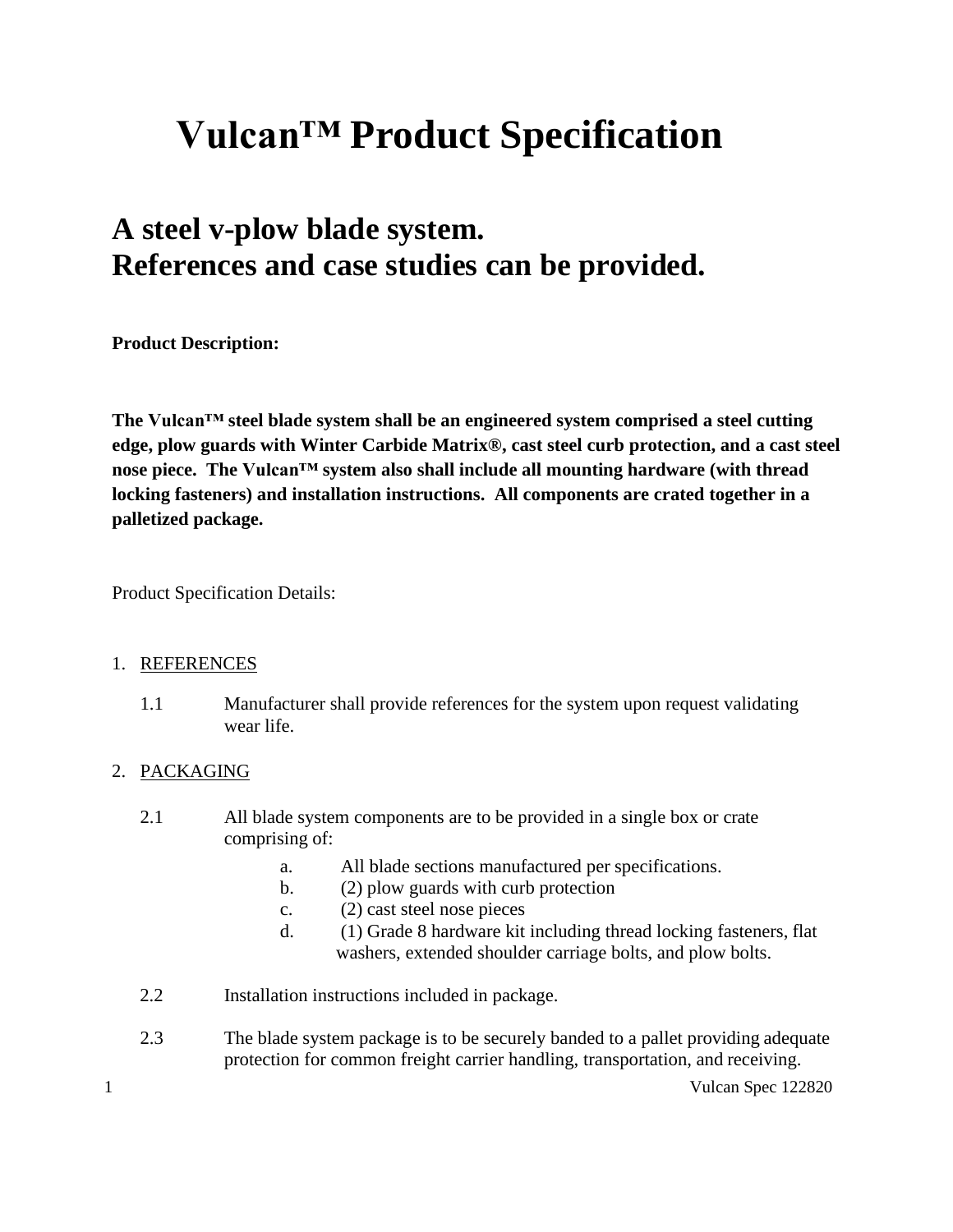# **Vulcan™ Product Specification**

## **A steel v-plow blade system. References and case studies can be provided.**

**Product Description:**

**The Vulcan™ steel blade system shall be an engineered system comprised a steel cutting edge, plow guards with Winter Carbide Matrix®, cast steel curb protection, and a cast steel nose piece. The Vulcan™ system also shall include all mounting hardware (with thread locking fasteners) and installation instructions. All components are crated together in a palletized package.**

Product Specification Details:

#### 1. REFERENCES

1.1 Manufacturer shall provide references for the system upon request validating wear life.

#### 2. PACKAGING

- 2.1 All blade system components are to be provided in a single box or crate comprising of:
	- a. All blade sections manufactured per specifications.
	- b. (2) plow guards with curb protection
	- c. (2) cast steel nose pieces
	- d. (1) Grade 8 hardware kit including thread locking fasteners, flat washers, extended shoulder carriage bolts, and plow bolts.
- 2.2 Installation instructions included in package.
- 2.3 The blade system package is to be securely banded to a pallet providing adequate protection for common freight carrier handling, transportation, and receiving.

1 Vulcan Spec 122820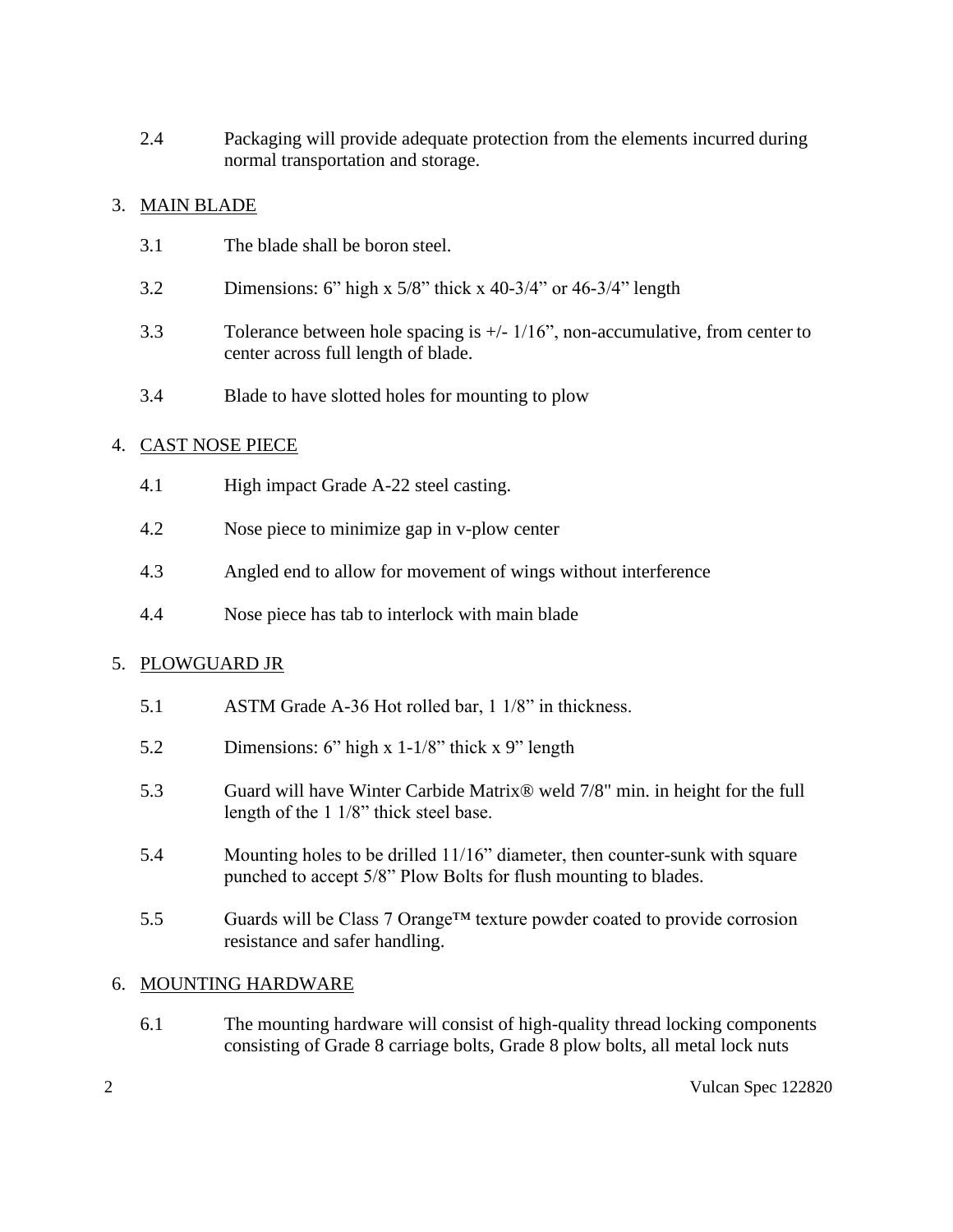2.4 Packaging will provide adequate protection from the elements incurred during normal transportation and storage.

#### 3. MAIN BLADE

- 3.1 The blade shall be boron steel.
- 3.2 Dimensions: 6" high x 5/8" thick x 40-3/4" or 46-3/4" length
- 3.3 Tolerance between hole spacing is +/- 1/16", non-accumulative, from center to center across full length of blade.
- 3.4 Blade to have slotted holes for mounting to plow

#### 4. CAST NOSE PIECE

- 4.1 High impact Grade A-22 steel casting.
- 4.2 Nose piece to minimize gap in v-plow center
- 4.3 Angled end to allow for movement of wings without interference
- 4.4 Nose piece has tab to interlock with main blade

#### 5. PLOWGUARD JR

- 5.1 ASTM Grade A-36 Hot rolled bar, 1 1/8" in thickness.
- 5.2 Dimensions: 6" high x 1-1/8" thick x 9" length
- 5.3 Guard will have Winter Carbide Matrix® weld 7/8" min. in height for the full length of the 1 1/8" thick steel base.
- 5.4 Mounting holes to be drilled 11/16" diameter, then counter-sunk with square punched to accept 5/8" Plow Bolts for flush mounting to blades.
- 5.5 Guards will be Class 7 Orange<sup>TM</sup> texture powder coated to provide corrosion resistance and safer handling.

#### 6. MOUNTING HARDWARE

6.1 The mounting hardware will consist of high-quality thread locking components consisting of Grade 8 carriage bolts, Grade 8 plow bolts, all metal lock nuts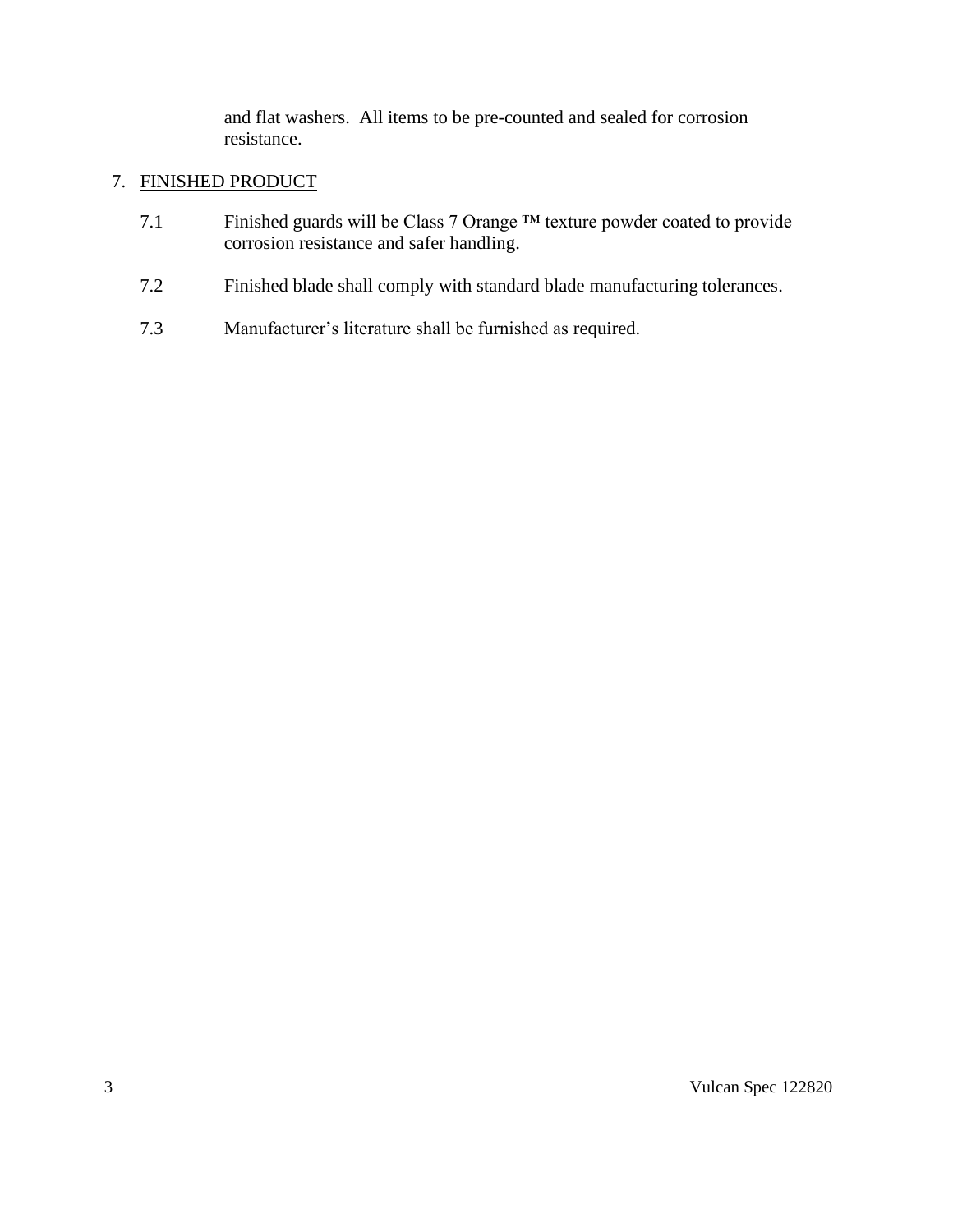and flat washers. All items to be pre-counted and sealed for corrosion resistance.

#### 7. FINISHED PRODUCT

- 7.1 Finished guards will be Class 7 Orange ™ texture powder coated to provide corrosion resistance and safer handling.
- 7.2 Finished blade shall comply with standard blade manufacturing tolerances.
- 7.3 Manufacturer's literature shall be furnished as required.